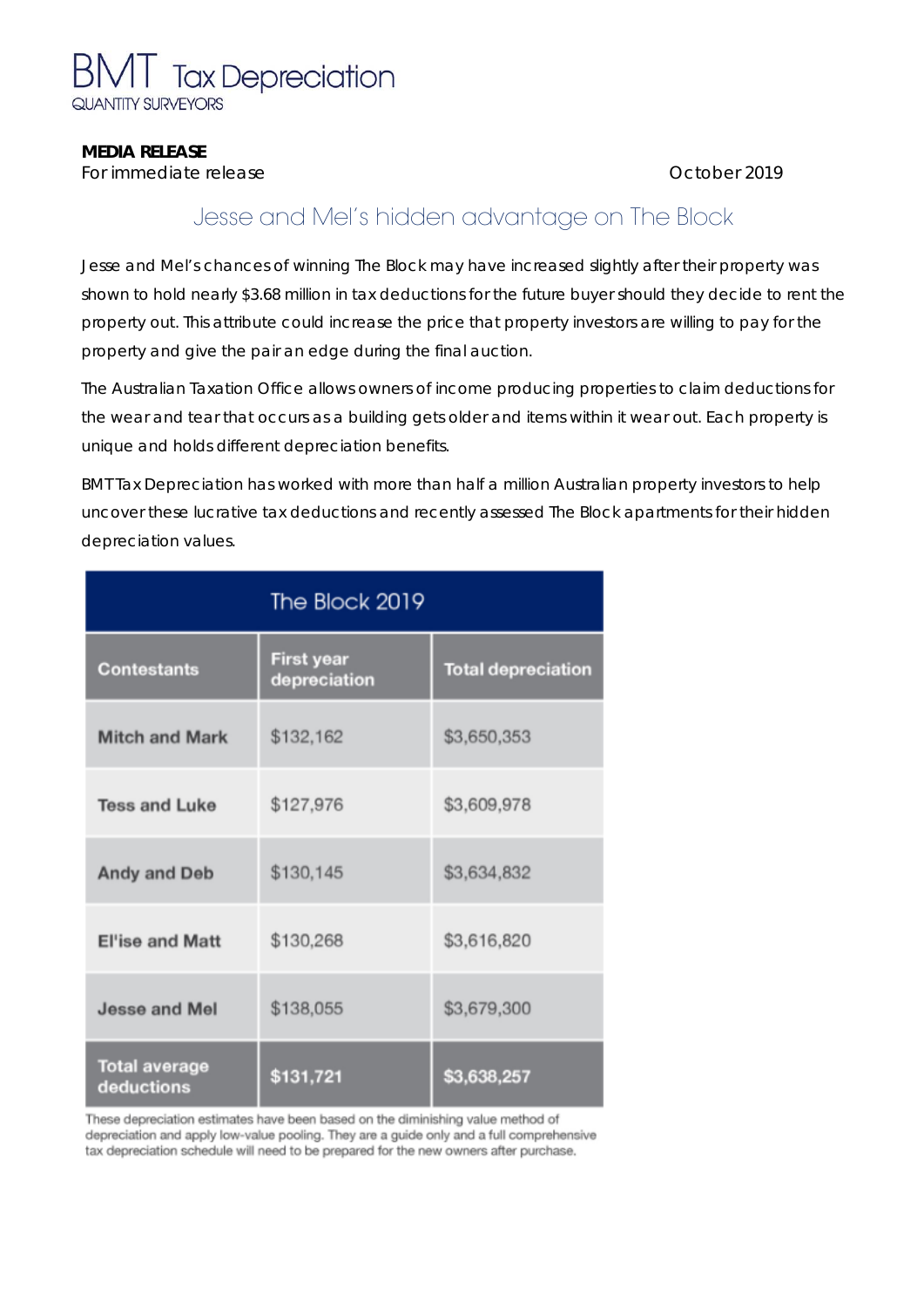

#### **MEDIA RELEASE**

**For immediate release Contract Contract Contract Contract Contract Contract Contract Contract Contract Contract Contract Contract Contract Contract Contract Contract Contract Contract Contract Contract Contract Contract** 

## Jesse and Mel's hidden advantage on The Block

Jesse and Mel's chances of winning The Block may have increased slightly after their property was shown to hold nearly \$3.68 million in tax deductions for the future buyer should they decide to rent the property out. This attribute could increase the price that property investors are willing to pay for the property and give the pair an edge during the final auction.

The Australian Taxation Office allows owners of income producing properties to claim deductions for the wear and tear that occurs as a building gets older and items within it wear out. Each property is unique and holds different depreciation benefits.

BMT Tax Depreciation has worked with more than half a million Australian property investors to help uncover these lucrative tax deductions and recently assessed The Block apartments for their hidden depreciation values.

| The Block 2019                     |                            |                           |
|------------------------------------|----------------------------|---------------------------|
| <b>Contestants</b>                 | First year<br>depreciation | <b>Total depreciation</b> |
| <b>Mitch and Mark</b>              | \$132,162                  | \$3,650,353               |
| <b>Tess and Luke</b>               | \$127,976                  | \$3,609,978               |
| <b>Andy and Deb</b>                | \$130,145                  | \$3,634,832               |
| <b>El'ise and Matt</b>             | \$130,268                  | \$3,616,820               |
| Jesse and Mel                      | \$138,055                  | \$3,679,300               |
| <b>Total average</b><br>deductions | \$131,721                  | \$3,638,257               |

These depreciation estimates have been based on the diminishing value method of depreciation and apply low-value pooling. They are a guide only and a full comprehensive tax depreciation schedule will need to be prepared for the new owners after purchase.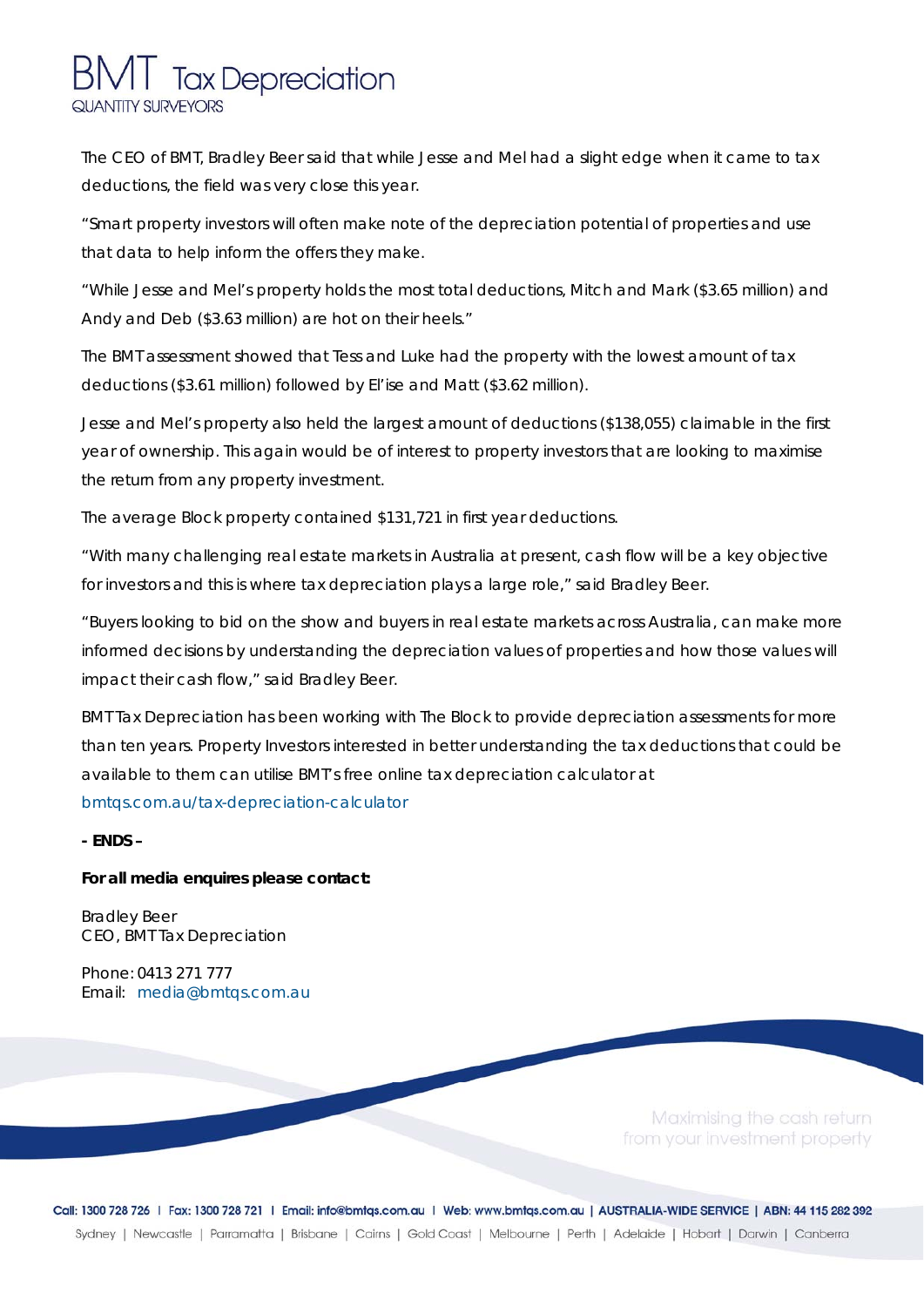# **Tax Depreciation** QUANTITY SURVEYORS

The CEO of BMT, Bradley Beer said that while Jesse and Mel had a slight edge when it came to tax deductions, the field was very close this year.

"Smart property investors will often make note of the depreciation potential of properties and use that data to help inform the offers they make.

"While Jesse and Mel's property holds the most total deductions, Mitch and Mark (\$3.65 million) and Andy and Deb (\$3.63 million) are hot on their heels."

The BMT assessment showed that Tess and Luke had the property with the lowest amount of tax deductions (\$3.61 million) followed by El'ise and Matt (\$3.62 million).

Jesse and Mel's property also held the largest amount of deductions (\$138,055) claimable in the first year of ownership. This again would be of interest to property investors that are looking to maximise the return from any property investment.

The average Block property contained \$131,721 in first year deductions.

"With many challenging real estate markets in Australia at present, cash flow will be a key objective for investors and this is where tax depreciation plays a large role," said Bradley Beer.

"Buyers looking to bid on the show and buyers in real estate markets across Australia, can make more informed decisions by understanding the depreciation values of properties and how those values will impact their cash flow," said Bradley Beer.

BMT Tax Depreciation has been working with The Block to provide depreciation assessments for more than ten years. Property Investors interested in better understanding the tax deductions that could be available to them can utilise BMT's free online tax depreciation calculator at [bmtqs.com.au/tax-depreciation-calculator](https://www.bmtqs.com.au/tax-depreciation-calculator)

**- ENDS –** 

#### **For all media enquires please contact:**

Bradley Beer CEO, BMT Tax Depreciation

Phone: 0413 271 777 Email: media@bmtqs.com.au

> Maximising the cash return from your investment property

Call: 1300 728 726 | Fax: 1300 728 721 | Email: info@bmtqs.com.au | Web: www.bmtqs.com.au | AUSTRALIA-WIDE SERVICE | ABN: 44 115 282 392 Sydney | Newcastle | Parramatta | Brisbane | Cairns | Gold Coast | Melbourne | Perth | Adelaide | Hobart | Darwin | Canberra